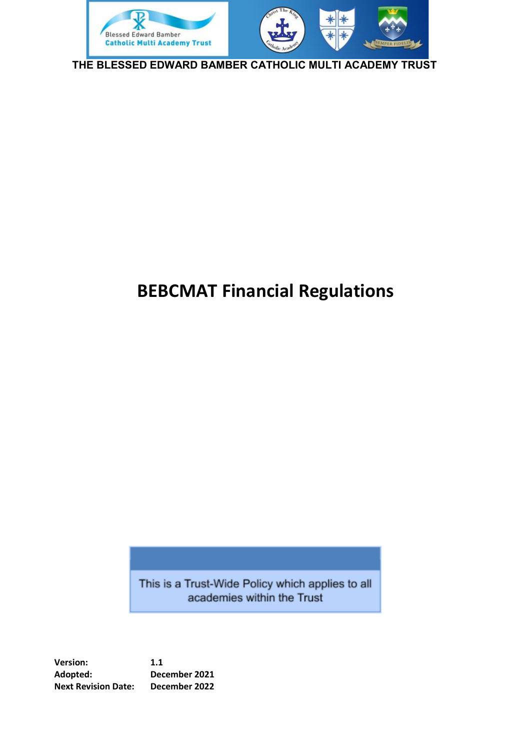



 **THE BLESSED EDWARD BAMBER CATHOLIC MULTI ACADEMY TRUST**

# **BEBCMAT Financial Regulations**

This is a Trust-Wide Policy which applies to all academies within the Trust

**Version: 1.1 Adopted: December 2021 Next Revision Date: December 2022**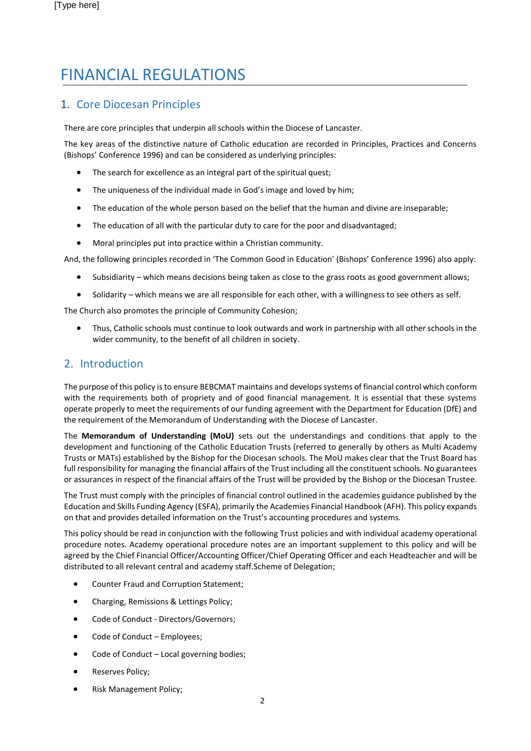# FINANCIAL REGULATIONS

# 1. Core Diocesan Principles

There are core principles that underpin all schools within the Diocese of Lancaster.

The key areas of the distinctive nature of Catholic education are recorded in Principles, Practices and Concerns (Bishops' Conference 1996) and can be considered as underlying principles:

- The search for excellence as an integral part of the spiritual quest;
- The uniqueness of the individual made in God's image and loved by him;
- The education of the whole person based on the belief that the human and divine are inseparable;
- The education of all with the particular duty to care for the poor and disadvantaged;
- Moral principles put into practice within a Christian community.

And, the following principles recorded in 'The Common Good in Education' (Bishops' Conference 1996) also apply:

- Subsidiarity which means decisions being taken as close to the grass roots as good government allows;
- Solidarity which means we are all responsible for each other, with a willingness to see others as self.

The Church also promotes the principle of Community Cohesion;

• Thus, Catholic schools must continue to look outwards and work in partnership with all other schools in the wider community, to the benefit of all children in society.

# 2. Introduction

The purpose of this policy is to ensure BEBCMAT maintains and develops systems of financial control which conform with the requirements both of propriety and of good financial management. It is essential that these systems operate properly to meet the requirements of our funding agreement with the Department for Education (DfE) and the requirement of the Memorandum of Understanding with the Diocese of Lancaster.

The **Memorandum of Understanding (MoU)** sets out the understandings and conditions that apply to the development and functioning of the Catholic Education Trusts (referred to generally by others as Multi Academy Trusts or MATs) established by the Bishop for the Diocesan schools. The MoU makes clear that the Trust Board has full responsibility for managing the financial affairs of the Trust including all the constituent schools. No guarantees or assurances in respect of the financial affairs of the Trust will be provided by the Bishop or the Diocesan Trustee.

The Trust must comply with the principles of financial control outlined in the academies guidance published by the Education and Skills Funding Agency (ESFA), primarily the Academies Financial Handbook (AFH). This policy expands on that and provides detailed information on the Trust's accounting procedures and systems.

This policy should be read in conjunction with the following Trust policies and with individual academy operational procedure notes. Academy operational procedure notes are an important supplement to this policy and will be agreed by the Chief Financial Officer/Accounting Officer/Chief Operating Officer and each Headteacher and will be distributed to all relevant central and academy staff.Scheme of Delegation;

- Counter Fraud and Corruption Statement;
- Charging, Remissions & Lettings Policy;
- Code of Conduct Directors/Governors;
- Code of Conduct Employees;
- Code of Conduct Local governing bodies;
- Reserves Policy;
- Risk Management Policy;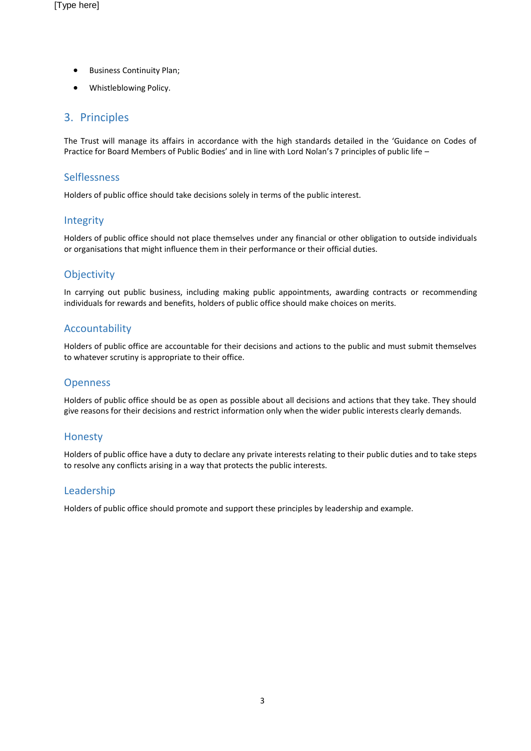- Business Continuity Plan;
- Whistleblowing Policy.

# 3. Principles

The Trust will manage its affairs in accordance with the high standards detailed in the 'Guidance on Codes of Practice for Board Members of Public Bodies' and in line with Lord Nolan's 7 principles of public life –

### Selflessness

Holders of public office should take decisions solely in terms of the public interest.

### Integrity

Holders of public office should not place themselves under any financial or other obligation to outside individuals or organisations that might influence them in their performance or their official duties.

# **Objectivity**

In carrying out public business, including making public appointments, awarding contracts or recommending individuals for rewards and benefits, holders of public office should make choices on merits.

### Accountability

Holders of public office are accountable for their decisions and actions to the public and must submit themselves to whatever scrutiny is appropriate to their office.

# **Openness**

Holders of public office should be as open as possible about all decisions and actions that they take. They should give reasons for their decisions and restrict information only when the wider public interests clearly demands.

### Honesty

Holders of public office have a duty to declare any private interests relating to their public duties and to take steps to resolve any conflicts arising in a way that protects the public interests.

# Leadership

Holders of public office should promote and support these principles by leadership and example.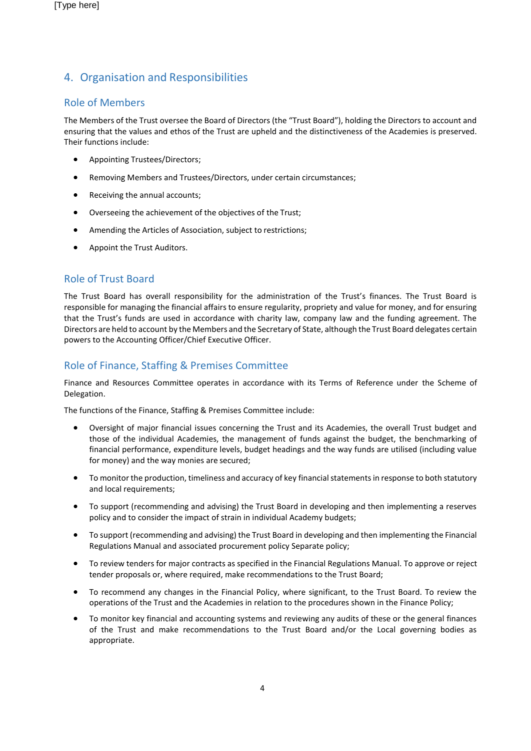# 4. Organisation and Responsibilities

### Role of Members

The Members of the Trust oversee the Board of Directors (the "Trust Board"), holding the Directors to account and ensuring that the values and ethos of the Trust are upheld and the distinctiveness of the Academies is preserved. Their functions include:

- Appointing Trustees/Directors;
- Removing Members and Trustees/Directors, under certain circumstances;
- Receiving the annual accounts;
- Overseeing the achievement of the objectives of the Trust;
- Amending the Articles of Association, subject to restrictions;
- Appoint the Trust Auditors.

### Role of Trust Board

The Trust Board has overall responsibility for the administration of the Trust's finances. The Trust Board is responsible for managing the financial affairs to ensure regularity, propriety and value for money, and for ensuring that the Trust's funds are used in accordance with charity law, company law and the funding agreement. The Directors are held to account by the Members and the Secretary of State, although the Trust Board delegates certain powers to the Accounting Officer/Chief Executive Officer.

# Role of Finance, Staffing & Premises Committee

Finance and Resources Committee operates in accordance with its Terms of Reference under the Scheme of Delegation.

The functions of the Finance, Staffing & Premises Committee include:

- Oversight of major financial issues concerning the Trust and its Academies, the overall Trust budget and those of the individual Academies, the management of funds against the budget, the benchmarking of financial performance, expenditure levels, budget headings and the way funds are utilised (including value for money) and the way monies are secured;
- To monitor the production, timeliness and accuracy of key financial statements in response to both statutory and local requirements;
- To support (recommending and advising) the Trust Board in developing and then implementing a reserves policy and to consider the impact of strain in individual Academy budgets;
- To support (recommending and advising) the Trust Board in developing and then implementing the Financial Regulations Manual and associated procurement policy Separate policy;
- To review tenders for major contracts as specified in the Financial Regulations Manual. To approve or reject tender proposals or, where required, make recommendations to the Trust Board;
- To recommend any changes in the Financial Policy, where significant, to the Trust Board. To review the operations of the Trust and the Academies in relation to the procedures shown in the Finance Policy;
- To monitor key financial and accounting systems and reviewing any audits of these or the general finances of the Trust and make recommendations to the Trust Board and/or the Local governing bodies as appropriate.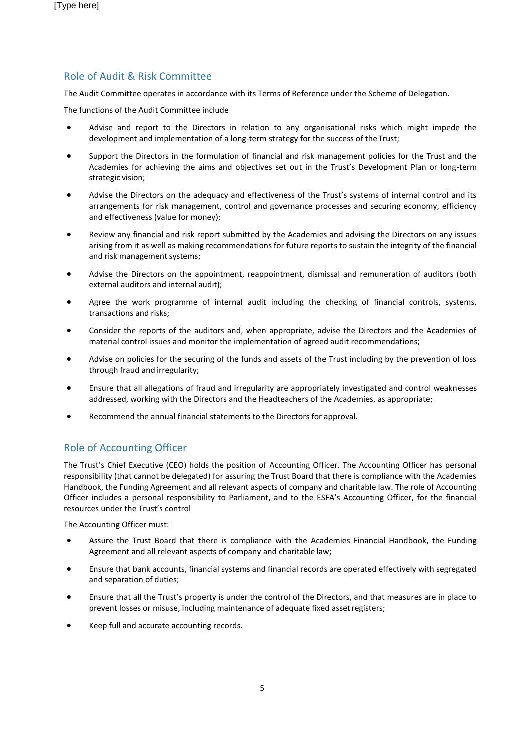### Role of Audit & Risk Committee

The Audit Committee operates in accordance with its Terms of Reference under the Scheme of Delegation.

The functions of the Audit Committee include

- Advise and report to the Directors in relation to any organisational risks which might impede the development and implementation of a long-term strategy for the success of the Trust;
- Support the Directors in the formulation of financial and risk management policies for the Trust and the Academies for achieving the aims and objectives set out in the Trust's Development Plan or long-term strategic vision;
- Advise the Directors on the adequacy and effectiveness of the Trust's systems of internal control and its arrangements for risk management, control and governance processes and securing economy, efficiency and effectiveness (value for money);
- Review any financial and risk report submitted by the Academies and advising the Directors on any issues arising from it as well as making recommendations for future reports to sustain the integrity of the financial and risk management systems;
- Advise the Directors on the appointment, reappointment, dismissal and remuneration of auditors (both external auditors and internal audit);
- Agree the work programme of internal audit including the checking of financial controls, systems, transactions and risks;
- Consider the reports of the auditors and, when appropriate, advise the Directors and the Academies of material control issues and monitor the implementation of agreed audit recommendations;
- Advise on policies for the securing of the funds and assets of the Trust including by the prevention of loss through fraud and irregularity;
- Ensure that all allegations of fraud and irregularity are appropriately investigated and control weaknesses addressed, working with the Directors and the Headteachers of the Academies, as appropriate;
- Recommend the annual financial statements to the Directors for approval.

# Role of Accounting Officer

The Trust's Chief Executive (CEO) holds the position of Accounting Officer. The Accounting Officer has personal responsibility (that cannot be delegated) for assuring the Trust Board that there is compliance with the Academies Handbook, the Funding Agreement and all relevant aspects of company and charitable law. The role of Accounting Officer includes a personal responsibility to Parliament, and to the ESFA's Accounting Officer, for the financial resources under the Trust's control

The Accounting Officer must:

- Assure the Trust Board that there is compliance with the Academies Financial Handbook, the Funding Agreement and all relevant aspects of company and charitable law;
- Ensure that bank accounts, financial systems and financial records are operated effectively with segregated and separation of duties;
- Ensure that all the Trust's property is under the control of the Directors, and that measures are in place to prevent losses or misuse, including maintenance of adequate fixed assetregisters;
- Keep full and accurate accounting records.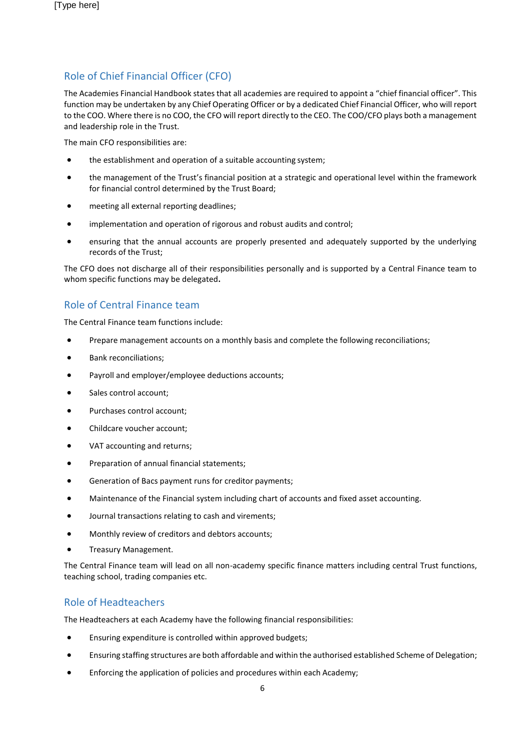# Role of Chief Financial Officer (CFO)

The Academies Financial Handbook states that all academies are required to appoint a "chief financial officer". This function may be undertaken by any Chief Operating Officer or by a dedicated Chief Financial Officer, who will report to the COO. Where there is no COO, the CFO will report directly to the CEO. The COO/CFO plays both a management and leadership role in the Trust.

The main CFO responsibilities are:

- the establishment and operation of a suitable accounting system;
- the management of the Trust's financial position at a strategic and operational level within the framework for financial control determined by the Trust Board;
- meeting all external reporting deadlines;
- implementation and operation of rigorous and robust audits and control:
- ensuring that the annual accounts are properly presented and adequately supported by the underlying records of the Trust;

The CFO does not discharge all of their responsibilities personally and is supported by a Central Finance team to whom specific functions may be delegated**.**

# Role of Central Finance team

The Central Finance team functions include:

- Prepare management accounts on a monthly basis and complete the following reconciliations;
- Bank reconciliations;
- Payroll and employer/employee deductions accounts;
- Sales control account:
- Purchases control account;
- Childcare voucher account;
- VAT accounting and returns;
- Preparation of annual financial statements;
- Generation of Bacs payment runs for creditor payments;
- Maintenance of the Financial system including chart of accounts and fixed asset accounting.
- Journal transactions relating to cash and virements;
- Monthly review of creditors and debtors accounts;
- Treasury Management.

The Central Finance team will lead on all non-academy specific finance matters including central Trust functions, teaching school, trading companies etc.

# Role of Headteachers

The Headteachers at each Academy have the following financial responsibilities:

- Ensuring expenditure is controlled within approved budgets;
- Ensuring staffing structures are both affordable and within the authorised established Scheme of Delegation;
- Enforcing the application of policies and procedures within each Academy;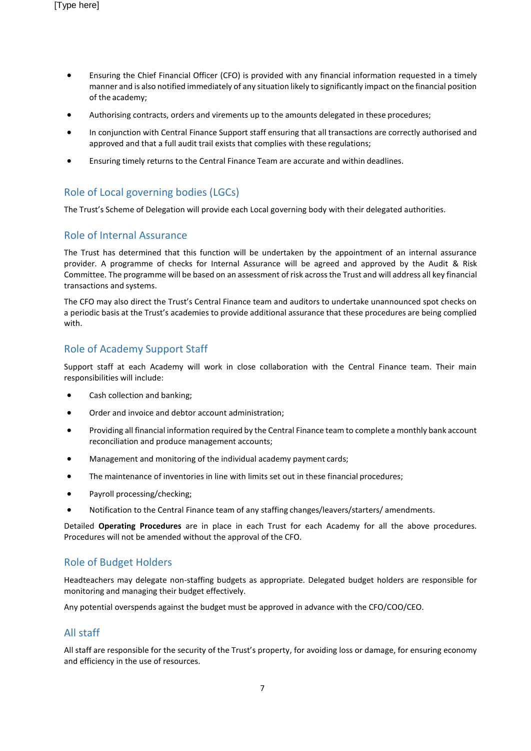- Ensuring the Chief Financial Officer (CFO) is provided with any financial information requested in a timely manner and is also notified immediately of any situation likely to significantly impact on the financial position of the academy;
- Authorising contracts, orders and virements up to the amounts delegated in these procedures;
- In conjunction with Central Finance Support staff ensuring that all transactions are correctly authorised and approved and that a full audit trail exists that complies with these regulations;
- Ensuring timely returns to the Central Finance Team are accurate and within deadlines.

# Role of Local governing bodies (LGCs)

The Trust's Scheme of Delegation will provide each Local governing body with their delegated authorities.

### Role of Internal Assurance

The Trust has determined that this function will be undertaken by the appointment of an internal assurance provider. A programme of checks for Internal Assurance will be agreed and approved by the Audit & Risk Committee. The programme will be based on an assessment of risk across the Trust and will address all key financial transactions and systems.

The CFO may also direct the Trust's Central Finance team and auditors to undertake unannounced spot checks on a periodic basis at the Trust's academies to provide additional assurance that these procedures are being complied with.

### Role of Academy Support Staff

Support staff at each Academy will work in close collaboration with the Central Finance team. Their main responsibilities will include:

- Cash collection and banking;
- Order and invoice and debtor account administration;
- Providing all financial information required by the Central Finance team to complete a monthly bank account reconciliation and produce management accounts;
- Management and monitoring of the individual academy payment cards;
- The maintenance of inventories in line with limits set out in these financial procedures;
- Payroll processing/checking;
- Notification to the Central Finance team of any staffing changes/leavers/starters/ amendments.

Detailed **Operating Procedures** are in place in each Trust for each Academy for all the above procedures. Procedures will not be amended without the approval of the CFO.

# Role of Budget Holders

Headteachers may delegate non-staffing budgets as appropriate. Delegated budget holders are responsible for monitoring and managing their budget effectively.

Any potential overspends against the budget must be approved in advance with the CFO/COO/CEO.

#### All staff

All staff are responsible for the security of the Trust's property, for avoiding loss or damage, for ensuring economy and efficiency in the use of resources.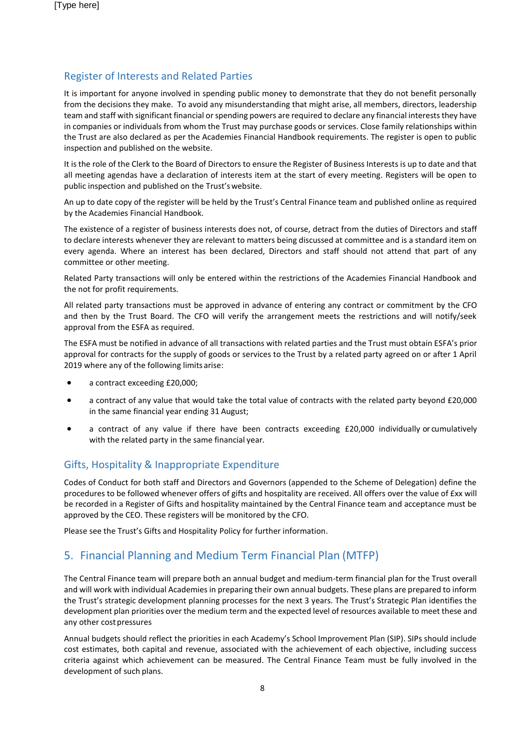### Register of Interests and Related Parties

It is important for anyone involved in spending public money to demonstrate that they do not benefit personally from the decisions they make. To avoid any misunderstanding that might arise, all members, directors, leadership team and staff with significant financial or spending powers are required to declare any financial interests they have in companies or individuals from whom the Trust may purchase goods or services. Close family relationships within the Trust are also declared as per the Academies Financial Handbook requirements. The register is open to public inspection and published on the website.

It is the role of the Clerk to the Board of Directors to ensure the Register of Business Interests is up to date and that all meeting agendas have a declaration of interests item at the start of every meeting. Registers will be open to public inspection and published on the Trust'swebsite.

An up to date copy of the register will be held by the Trust's Central Finance team and published online as required by the Academies Financial Handbook.

The existence of a register of business interests does not, of course, detract from the duties of Directors and staff to declare interests whenever they are relevant to matters being discussed at committee and is a standard item on every agenda. Where an interest has been declared, Directors and staff should not attend that part of any committee or other meeting.

Related Party transactions will only be entered within the restrictions of the Academies Financial Handbook and the not for profit requirements.

All related party transactions must be approved in advance of entering any contract or commitment by the CFO and then by the Trust Board. The CFO will verify the arrangement meets the restrictions and will notify/seek approval from the ESFA as required.

The ESFA must be notified in advance of all transactions with related parties and the Trust must obtain ESFA's prior approval for contracts for the supply of goods or services to the Trust by a related party agreed on or after 1 April 2019 where any of the following limitsarise:

- a contract exceeding £20,000;
- a contract of any value that would take the total value of contracts with the related party beyond £20,000 in the same financial year ending 31 August;
- a contract of any value if there have been contracts exceeding £20,000 individually or cumulatively with the related party in the same financial year.

# Gifts, Hospitality & Inappropriate Expenditure

Codes of Conduct for both staff and Directors and Governors (appended to the Scheme of Delegation) define the procedures to be followed whenever offers of gifts and hospitality are received. All offers over the value of £xx will be recorded in a Register of Gifts and hospitality maintained by the Central Finance team and acceptance must be approved by the CEO. These registers will be monitored by the CFO.

Please see the Trust's Gifts and Hospitality Policy for further information.

# 5. Financial Planning and Medium Term Financial Plan (MTFP)

The Central Finance team will prepare both an annual budget and medium-term financial plan for the Trust overall and will work with individual Academies in preparing their own annual budgets. These plans are prepared to inform the Trust's strategic development planning processes for the next 3 years. The Trust's Strategic Plan identifies the development plan priorities over the medium term and the expected level of resources available to meet these and any other cost pressures

Annual budgets should reflect the priorities in each Academy's School Improvement Plan (SIP). SIPs should include cost estimates, both capital and revenue, associated with the achievement of each objective, including success criteria against which achievement can be measured. The Central Finance Team must be fully involved in the development of such plans.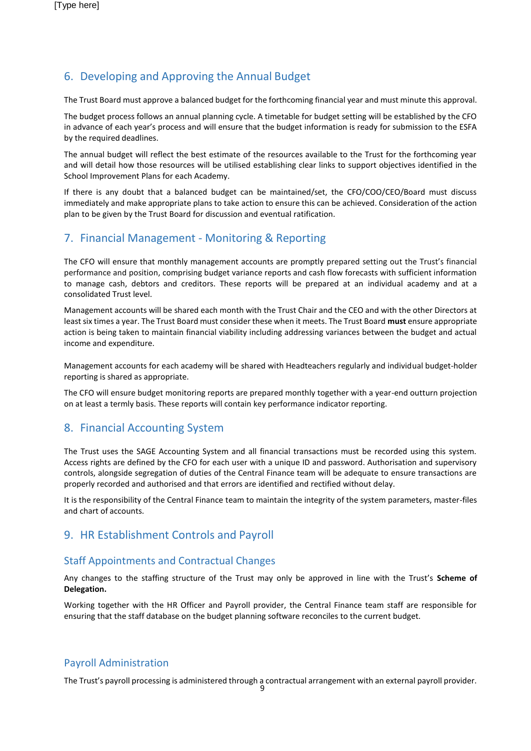# 6. Developing and Approving the Annual Budget

The Trust Board must approve a balanced budget for the forthcoming financial year and must minute this approval.

The budget process follows an annual planning cycle. A timetable for budget setting will be established by the CFO in advance of each year's process and will ensure that the budget information is ready for submission to the ESFA by the required deadlines.

The annual budget will reflect the best estimate of the resources available to the Trust for the forthcoming year and will detail how those resources will be utilised establishing clear links to support objectives identified in the School Improvement Plans for each Academy.

If there is any doubt that a balanced budget can be maintained/set, the CFO/COO/CEO/Board must discuss immediately and make appropriate plans to take action to ensure this can be achieved. Consideration of the action plan to be given by the Trust Board for discussion and eventual ratification.

# 7. Financial Management - Monitoring & Reporting

The CFO will ensure that monthly management accounts are promptly prepared setting out the Trust's financial performance and position, comprising budget variance reports and cash flow forecasts with sufficient information to manage cash, debtors and creditors. These reports will be prepared at an individual academy and at a consolidated Trust level.

Management accounts will be shared each month with the Trust Chair and the CEO and with the other Directors at least six times a year. The Trust Board must consider these when it meets. The Trust Board **must** ensure appropriate action is being taken to maintain financial viability including addressing variances between the budget and actual income and expenditure.

Management accounts for each academy will be shared with Headteachers regularly and individual budget-holder reporting is shared as appropriate.

The CFO will ensure budget monitoring reports are prepared monthly together with a year-end outturn projection on at least a termly basis. These reports will contain key performance indicator reporting.

# 8. Financial Accounting System

The Trust uses the SAGE Accounting System and all financial transactions must be recorded using this system. Access rights are defined by the CFO for each user with a unique ID and password. Authorisation and supervisory controls, alongside segregation of duties of the Central Finance team will be adequate to ensure transactions are properly recorded and authorised and that errors are identified and rectified without delay.

It is the responsibility of the Central Finance team to maintain the integrity of the system parameters, master-files and chart of accounts.

# 9. HR Establishment Controls and Payroll

### Staff Appointments and Contractual Changes

Any changes to the staffing structure of the Trust may only be approved in line with the Trust's **Scheme of Delegation.**

Working together with the HR Officer and Payroll provider, the Central Finance team staff are responsible for ensuring that the staff database on the budget planning software reconciles to the current budget.

# Payroll Administration

The Trust's payroll processing is administered through a contractual arrangement with an external payroll provider.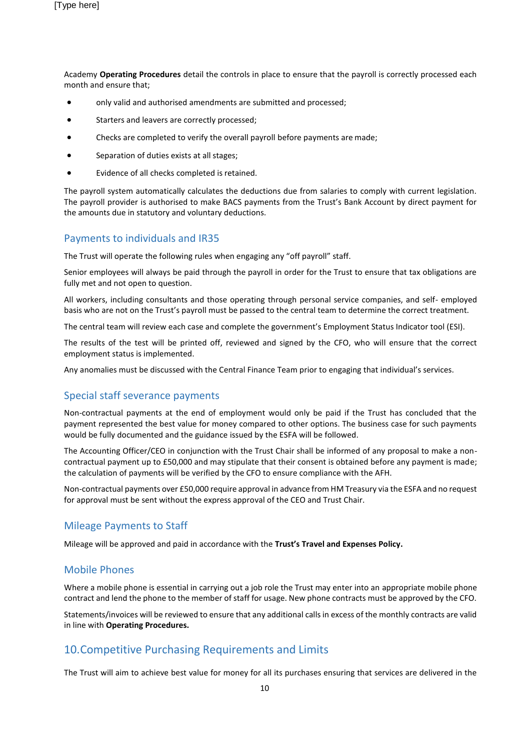Academy **Operating Procedures** detail the controls in place to ensure that the payroll is correctly processed each month and ensure that;

- only valid and authorised amendments are submitted and processed;
- Starters and leavers are correctly processed;
- Checks are completed to verify the overall payroll before payments are made;
- Separation of duties exists at all stages;
- Evidence of all checks completed is retained.

The payroll system automatically calculates the deductions due from salaries to comply with current legislation. The payroll provider is authorised to make BACS payments from the Trust's Bank Account by direct payment for the amounts due in statutory and voluntary deductions.

#### Payments to individuals and IR35

The Trust will operate the following rules when engaging any "off payroll" staff.

Senior employees will always be paid through the payroll in order for the Trust to ensure that tax obligations are fully met and not open to question.

All workers, including consultants and those operating through personal service companies, and self- employed basis who are not on the Trust's payroll must be passed to the central team to determine the correct treatment.

The central team will review each case and complete the government's Employment Status Indicator tool (ESI).

The results of the test will be printed off, reviewed and signed by the CFO, who will ensure that the correct employment status is implemented.

Any anomalies must be discussed with the Central Finance Team prior to engaging that individual's services.

### Special staff severance payments

Non-contractual payments at the end of employment would only be paid if the Trust has concluded that the payment represented the best value for money compared to other options. The business case for such payments would be fully documented and the guidance issued by the ESFA will be followed.

The Accounting Officer/CEO in conjunction with the Trust Chair shall be informed of any proposal to make a noncontractual payment up to £50,000 and may stipulate that their consent is obtained before any payment is made; the calculation of payments will be verified by the CFO to ensure compliance with the AFH.

Non-contractual payments over £50,000 require approval in advance from HM Treasury via the ESFA and no request for approval must be sent without the express approval of the CEO and Trust Chair.

#### Mileage Payments to Staff

Mileage will be approved and paid in accordance with the **Trust's Travel and Expenses Policy.**

### Mobile Phones

Where a mobile phone is essential in carrying out a job role the Trust may enter into an appropriate mobile phone contract and lend the phone to the member of staff for usage. New phone contracts must be approved by the CFO.

Statements/invoices will be reviewed to ensure that any additional calls in excess of the monthly contracts are valid in line with **Operating Procedures.**

### 10.Competitive Purchasing Requirements and Limits

The Trust will aim to achieve best value for money for all its purchases ensuring that services are delivered in the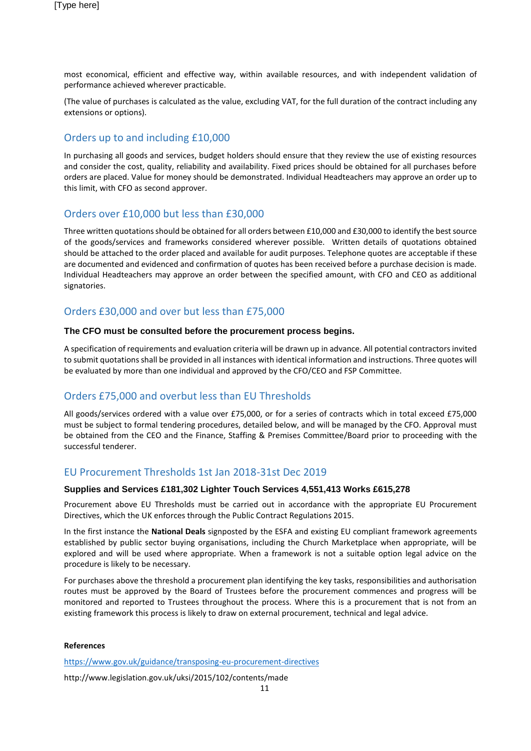most economical, efficient and effective way, within available resources, and with independent validation of performance achieved wherever practicable.

(The value of purchases is calculated as the value, excluding VAT, for the full duration of the contract including any extensions or options).

### Orders up to and including £10,000

In purchasing all goods and services, budget holders should ensure that they review the use of existing resources and consider the cost, quality, reliability and availability. Fixed prices should be obtained for all purchases before orders are placed. Value for money should be demonstrated. Individual Headteachers may approve an order up to this limit, with CFO as second approver.

### Orders over £10,000 but less than £30,000

Three written quotations should be obtained for all orders between £10,000 and £30,000 to identify the best source of the goods/services and frameworks considered wherever possible. Written details of quotations obtained should be attached to the order placed and available for audit purposes. Telephone quotes are acceptable if these are documented and evidenced and confirmation of quotes has been received before a purchase decision is made. Individual Headteachers may approve an order between the specified amount, with CFO and CEO as additional signatories.

# Orders £30,000 and over but less than £75,000

#### **The CFO must be consulted before the procurement process begins.**

A specification of requirements and evaluation criteria will be drawn up in advance. All potential contractors invited to submit quotations shall be provided in all instances with identical information and instructions. Three quotes will be evaluated by more than one individual and approved by the CFO/CEO and FSP Committee.

# Orders £75,000 and overbut less than EU Thresholds

All goods/services ordered with a value over £75,000, or for a series of contracts which in total exceed £75,000 must be subject to formal tendering procedures, detailed below, and will be managed by the CFO. Approval must be obtained from the CEO and the Finance, Staffing & Premises Committee/Board prior to proceeding with the successful tenderer.

### EU Procurement Thresholds 1st Jan 2018-31st Dec 2019

#### **Supplies and Services £181,302 Lighter Touch Services 4,551,413 Works £615,278**

Procurement above EU Thresholds must be carried out in accordance with the appropriate EU Procurement Directives, which the UK enforces through the Public Contract Regulations 2015.

In the first instance the **National Deals** signposted by the ESFA and existing EU compliant framework agreements established by public sector buying organisations, including the Church Marketplace when appropriate, will be explored and will be used where appropriate. When a framework is not a suitable option legal advice on the procedure is likely to be necessary.

For purchases above the threshold a procurement plan identifying the key tasks, responsibilities and authorisation routes must be approved by the Board of Trustees before the procurement commences and progress will be monitored and reported to Trustees throughout the process. Where this is a procurement that is not from an existing framework this process is likely to draw on external procurement, technical and legal advice.

#### **References**

<https://www.gov.uk/guidance/transposing-eu-procurement-directives>

<http://www.legislation.gov.uk/uksi/2015/102/contents/made>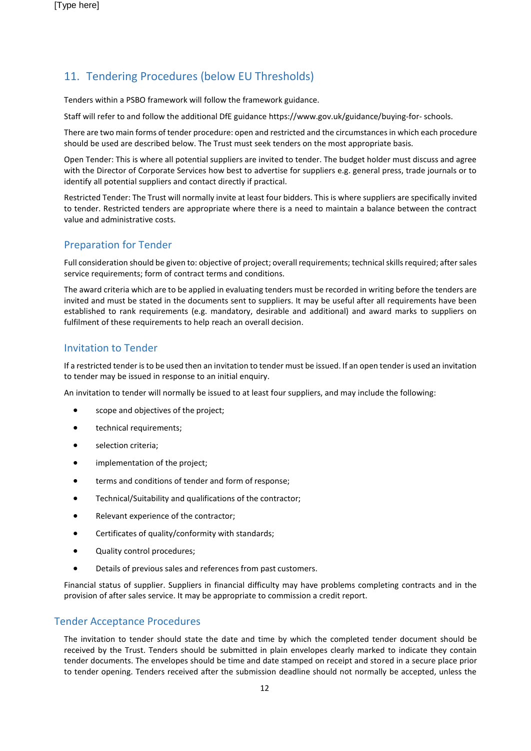# 11. Tendering Procedures (below EU Thresholds)

Tenders within a PSBO framework will follow the framework guidance.

Staff will refer to and follow the additional DfE guidance [https://www.gov.uk/guidance/buying-for-](https://www.gov.uk/guidance/buying-for-schools) [schools.](https://www.gov.uk/guidance/buying-for-schools)

There are two main forms of tender procedure: open and restricted and the circumstances in which each procedure should be used are described below. The Trust must seek tenders on the most appropriate basis.

Open Tender: This is where all potential suppliers are invited to tender. The budget holder must discuss and agree with the Director of Corporate Services how best to advertise for suppliers e.g. general press, trade journals or to identify all potential suppliers and contact directly if practical.

Restricted Tender: The Trust will normally invite at least four bidders. This is where suppliers are specifically invited to tender. Restricted tenders are appropriate where there is a need to maintain a balance between the contract value and administrative costs.

# Preparation for Tender

Full consideration should be given to: objective of project; overall requirements; technical skills required; after sales service requirements; form of contract terms and conditions.

The award criteria which are to be applied in evaluating tenders must be recorded in writing before the tenders are invited and must be stated in the documents sent to suppliers. It may be useful after all requirements have been established to rank requirements (e.g. mandatory, desirable and additional) and award marks to suppliers on fulfilment of these requirements to help reach an overall decision.

### Invitation to Tender

If a restricted tender is to be used then an invitation to tender must be issued. If an open tender is used an invitation to tender may be issued in response to an initial enquiry.

An invitation to tender will normally be issued to at least four suppliers, and may include the following:

- scope and objectives of the project;
- technical requirements;
- selection criteria;
- implementation of the project;
- terms and conditions of tender and form of response;
- Technical/Suitability and qualifications of the contractor;
- Relevant experience of the contractor;
- Certificates of quality/conformity with standards;
- Quality control procedures;
- Details of previous sales and references from past customers.

Financial status of supplier. Suppliers in financial difficulty may have problems completing contracts and in the provision of after sales service. It may be appropriate to commission a credit report.

#### Tender Acceptance Procedures

The invitation to tender should state the date and time by which the completed tender document should be received by the Trust. Tenders should be submitted in plain envelopes clearly marked to indicate they contain tender documents. The envelopes should be time and date stamped on receipt and stored in a secure place prior to tender opening. Tenders received after the submission deadline should not normally be accepted, unless the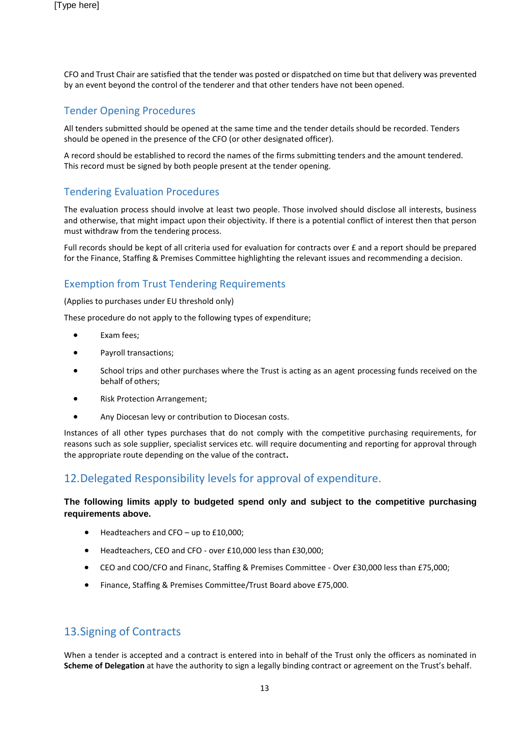CFO and Trust Chair are satisfied that the tender was posted or dispatched on time but that delivery was prevented by an event beyond the control of the tenderer and that other tenders have not been opened.

### Tender Opening Procedures

All tenders submitted should be opened at the same time and the tender details should be recorded. Tenders should be opened in the presence of the CFO (or other designated officer).

A record should be established to record the names of the firms submitting tenders and the amount tendered. This record must be signed by both people present at the tender opening.

### Tendering Evaluation Procedures

The evaluation process should involve at least two people. Those involved should disclose all interests, business and otherwise, that might impact upon their objectivity. If there is a potential conflict of interest then that person must withdraw from the tendering process.

Full records should be kept of all criteria used for evaluation for contracts over £ and a report should be prepared for the Finance, Staffing & Premises Committee highlighting the relevant issues and recommending a decision.

### Exemption from Trust Tendering Requirements

(Applies to purchases under EU threshold only)

These procedure do not apply to the following types of expenditure;

- Exam fees;
- Payroll transactions;
- School trips and other purchases where the Trust is acting as an agent processing funds received on the behalf of others;
- Risk Protection Arrangement;
- Any Diocesan levy or contribution to Diocesan costs.

Instances of all other types purchases that do not comply with the competitive purchasing requirements, for reasons such as sole supplier, specialist services etc. will require documenting and reporting for approval through the appropriate route depending on the value of the contract**.**

# 12.Delegated Responsibility levels for approval of expenditure.

**The following limits apply to budgeted spend only and subject to the competitive purchasing requirements above.**

- Headteachers and CFO up to £10,000;
- Headteachers, CEO and CFO over £10,000 less than £30,000;
- CEO and COO/CFO and Financ, Staffing & Premises Committee Over £30,000 less than £75,000;
- Finance, Staffing & Premises Committee/Trust Board above £75,000.

# 13.Signing of Contracts

When a tender is accepted and a contract is entered into in behalf of the Trust only the officers as nominated in **Scheme of Delegation** at have the authority to sign a legally binding contract or agreement on the Trust's behalf.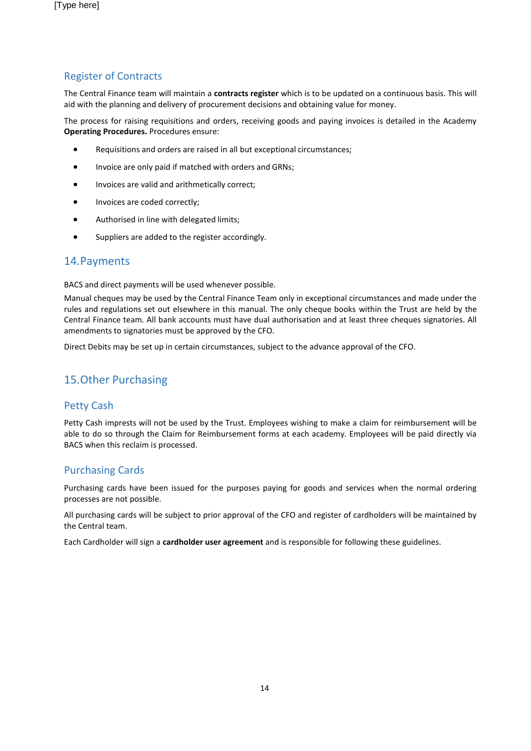# Register of Contracts

The Central Finance team will maintain a **contracts register** which is to be updated on a continuous basis. This will aid with the planning and delivery of procurement decisions and obtaining value for money.

The process for raising requisitions and orders, receiving goods and paying invoices is detailed in the Academy **Operating Procedures.** Procedures ensure:

- Requisitions and orders are raised in all but exceptional circumstances;
- Invoice are only paid if matched with orders and GRNs;
- Invoices are valid and arithmetically correct;
- Invoices are coded correctly;
- Authorised in line with delegated limits;
- Suppliers are added to the register accordingly.

### 14.Payments

BACS and direct payments will be used whenever possible.

Manual cheques may be used by the Central Finance Team only in exceptional circumstances and made under the rules and regulations set out elsewhere in this manual. The only cheque books within the Trust are held by the Central Finance team. All bank accounts must have dual authorisation and at least three cheques signatories. All amendments to signatories must be approved by the CFO.

Direct Debits may be set up in certain circumstances, subject to the advance approval of the CFO.

# 15.Other Purchasing

### Petty Cash

Petty Cash imprests will not be used by the Trust. Employees wishing to make a claim for reimbursement will be able to do so through the Claim for Reimbursement forms at each academy. Employees will be paid directly via BACS when this reclaim is processed.

### Purchasing Cards

Purchasing cards have been issued for the purposes paying for goods and services when the normal ordering processes are not possible.

All purchasing cards will be subject to prior approval of the CFO and register of cardholders will be maintained by the Central team.

Each Cardholder will sign a **cardholder user agreement** and is responsible for following these guidelines.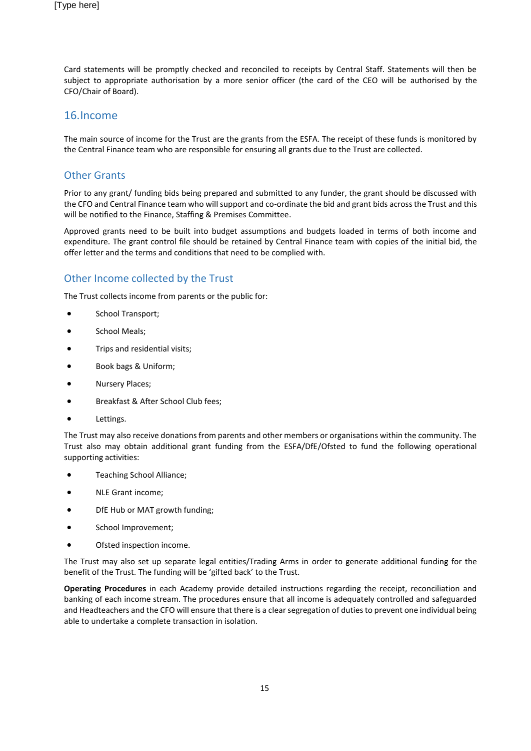Card statements will be promptly checked and reconciled to receipts by Central Staff. Statements will then be subject to appropriate authorisation by a more senior officer (the card of the CEO will be authorised by the CFO/Chair of Board).

### 16.Income

The main source of income for the Trust are the grants from the ESFA. The receipt of these funds is monitored by the Central Finance team who are responsible for ensuring all grants due to the Trust are collected.

### Other Grants

Prior to any grant/ funding bids being prepared and submitted to any funder, the grant should be discussed with the CFO and Central Finance team who will support and co-ordinate the bid and grant bids across the Trust and this will be notified to the Finance, Staffing & Premises Committee.

Approved grants need to be built into budget assumptions and budgets loaded in terms of both income and expenditure. The grant control file should be retained by Central Finance team with copies of the initial bid, the offer letter and the terms and conditions that need to be complied with.

### Other Income collected by the Trust

The Trust collects income from parents or the public for:

- School Transport;
- School Meals;
- Trips and residential visits;
- Book bags & Uniform;
- Nursery Places;
- Breakfast & After School Club fees;
- Lettings.

The Trust may also receive donations from parents and other members or organisations within the community. The Trust also may obtain additional grant funding from the ESFA/DfE/Ofsted to fund the following operational supporting activities:

- Teaching School Alliance;
- NLE Grant income;
- DfE Hub or MAT growth funding;
- School Improvement;
- Ofsted inspection income.

The Trust may also set up separate legal entities/Trading Arms in order to generate additional funding for the benefit of the Trust. The funding will be 'gifted back' to the Trust.

**Operating Procedures** in each Academy provide detailed instructions regarding the receipt, reconciliation and banking of each income stream. The procedures ensure that all income is adequately controlled and safeguarded and Headteachers and the CFO will ensure that there is a clear segregation of duties to prevent one individual being able to undertake a complete transaction in isolation.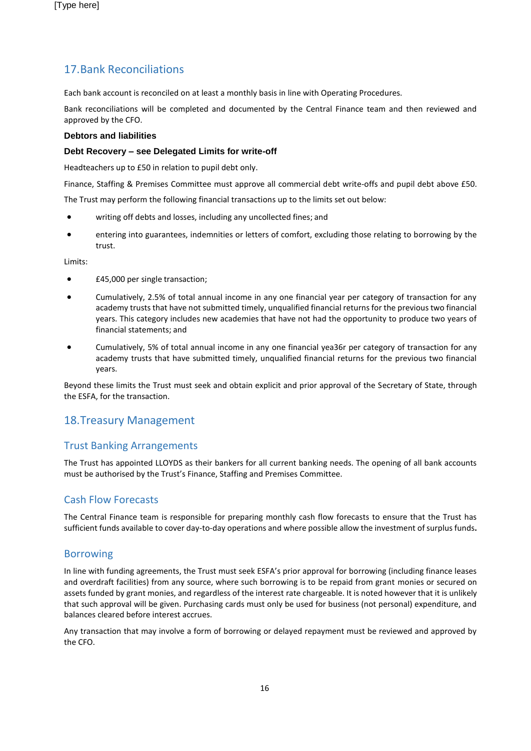# 17.Bank Reconciliations

Each bank account is reconciled on at least a monthly basis in line with Operating Procedures.

Bank reconciliations will be completed and documented by the Central Finance team and then reviewed and approved by the CFO.

#### **Debtors and liabilities**

#### **Debt Recovery – see Delegated Limits for write-off**

Headteachers up to £50 in relation to pupil debt only.

Finance, Staffing & Premises Committee must approve all commercial debt write-offs and pupil debt above £50.

The Trust may perform the following financial transactions up to the limits set out below:

- writing off debts and losses, including any uncollected fines; and
- entering into guarantees, indemnities or letters of comfort, excluding those relating to borrowing by the trust.

Limits:

- £45,000 per single transaction;
- Cumulatively, 2.5% of total annual income in any one financial year per category of transaction for any academy trusts that have not submitted timely, unqualified financial returns for the previous two financial years. This category includes new academies that have not had the opportunity to produce two years of financial statements; and
- Cumulatively, 5% of total annual income in any one financial yea36r per category of transaction for any academy trusts that have submitted timely, unqualified financial returns for the previous two financial years.

Beyond these limits the Trust must seek and obtain explicit and prior approval of the Secretary of State, through the ESFA, for the transaction.

# 18.Treasury Management

### Trust Banking Arrangements

The Trust has appointed LLOYDS as their bankers for all current banking needs. The opening of all bank accounts must be authorised by the Trust's Finance, Staffing and Premises Committee.

# Cash Flow Forecasts

The Central Finance team is responsible for preparing monthly cash flow forecasts to ensure that the Trust has sufficient funds available to cover day-to-day operations and where possible allow the investment of surplus funds**.**

# Borrowing

In line with funding agreements, the Trust must seek ESFA's prior approval for borrowing (including finance leases and overdraft facilities) from any source, where such borrowing is to be repaid from grant monies or secured on assets funded by grant monies, and regardless of the interest rate chargeable. It is noted however that it is unlikely that such approval will be given. Purchasing cards must only be used for business (not personal) expenditure, and balances cleared before interest accrues.

Any transaction that may involve a form of borrowing or delayed repayment must be reviewed and approved by the CFO.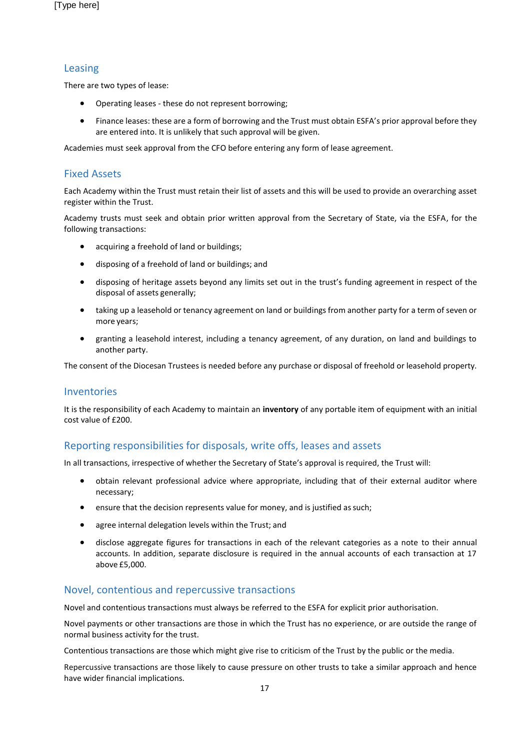### Leasing

There are two types of lease:

- Operating leases these do not represent borrowing;
- Finance leases: these are a form of borrowing and the Trust must obtain ESFA's prior approval before they are entered into. It is unlikely that such approval will be given.

Academies must seek approval from the CFO before entering any form of lease agreement.

### Fixed Assets

Each Academy within the Trust must retain their list of assets and this will be used to provide an overarching asset register within the Trust.

Academy trusts must seek and obtain prior written approval from the Secretary of State, via the ESFA, for the following transactions:

- acquiring a freehold of land or buildings;
- disposing of a freehold of land or buildings; and
- disposing of heritage assets beyond any limits set out in the trust's funding agreement in respect of the disposal of assets generally;
- taking up a leasehold or tenancy agreement on land or buildings from another party for a term of seven or more years;
- granting a leasehold interest, including a tenancy agreement, of any duration, on land and buildings to another party.

The consent of the Diocesan Trustees is needed before any purchase or disposal of freehold or leasehold property.

#### Inventories

It is the responsibility of each Academy to maintain an **inventory** of any portable item of equipment with an initial cost value of £200.

### Reporting responsibilities for disposals, write offs, leases and assets

In all transactions, irrespective of whether the Secretary of State's approval is required, the Trust will:

- obtain relevant professional advice where appropriate, including that of their external auditor where necessary;
- ensure that the decision represents value for money, and is justified as such;
- agree internal delegation levels within the Trust; and
- disclose aggregate figures for transactions in each of the relevant categories as a note to their annual accounts. In addition, separate disclosure is required in the annual accounts of each transaction at 17 above £5,000.

### Novel, contentious and repercussive transactions

Novel and contentious transactions must always be referred to the ESFA for explicit prior authorisation.

Novel payments or other transactions are those in which the Trust has no experience, or are outside the range of normal business activity for the trust.

Contentious transactions are those which might give rise to criticism of the Trust by the public or the media.

Repercussive transactions are those likely to cause pressure on other trusts to take a similar approach and hence have wider financial implications.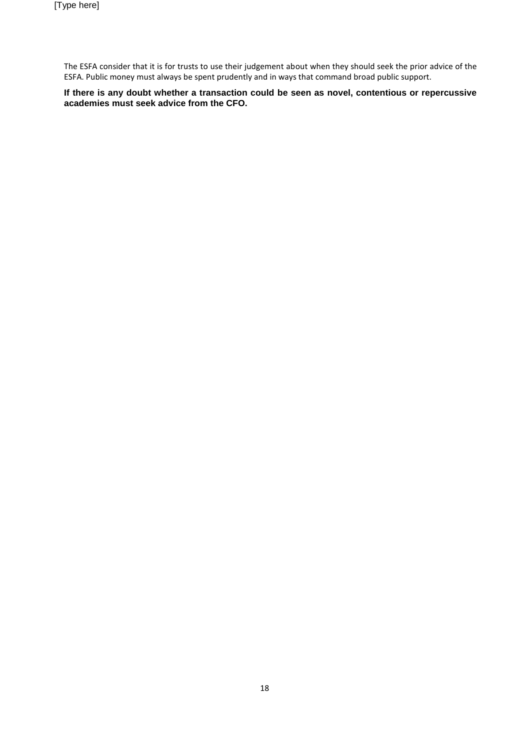The ESFA consider that it is for trusts to use their judgement about when they should seek the prior advice of the ESFA. Public money must always be spent prudently and in ways that command broad public support.

**If there is any doubt whether a transaction could be seen as novel, contentious or repercussive academies must seek advice from the CFO.**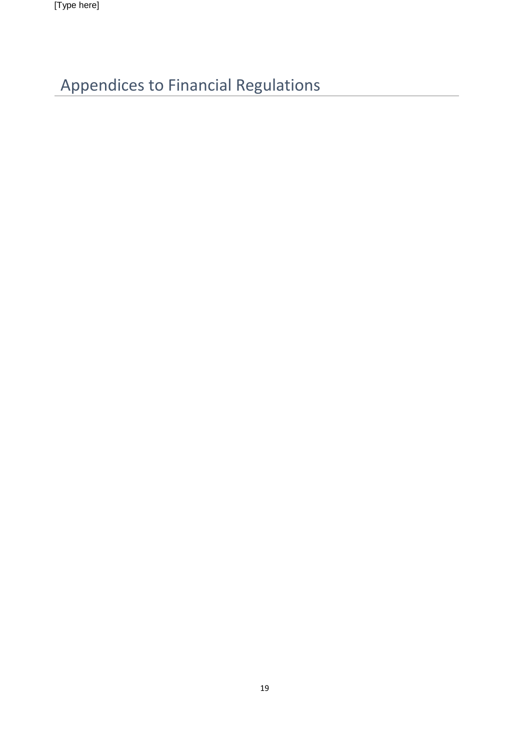[Type here]

# Appendices to Financial Regulations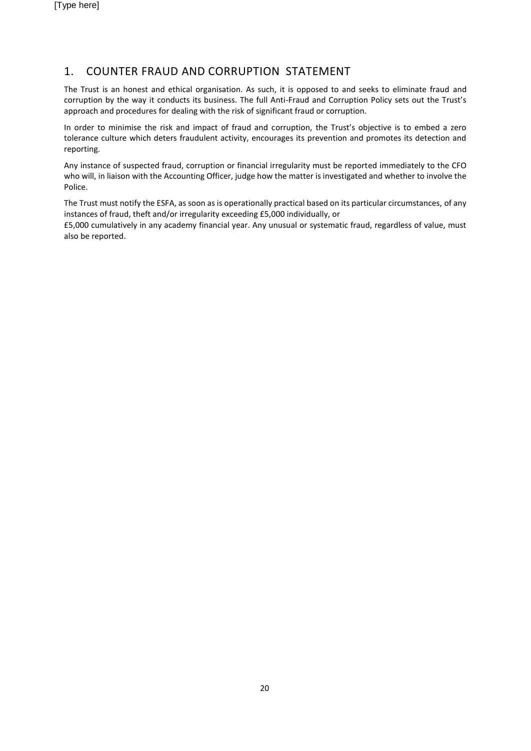# 1. COUNTER FRAUD AND CORRUPTION STATEMENT

The Trust is an honest and ethical organisation. As such, it is opposed to and seeks to eliminate fraud and corruption by the way it conducts its business. The full Anti-Fraud and Corruption Policy sets out the Trust's approach and procedures for dealing with the risk of significant fraud or corruption.

In order to minimise the risk and impact of fraud and corruption, the Trust's objective is to embed a zero tolerance culture which deters fraudulent activity, encourages its prevention and promotes its detection and reporting.

Any instance of suspected fraud, corruption or financial irregularity must be reported immediately to the CFO who will, in liaison with the Accounting Officer, judge how the matter is investigated and whether to involve the Police.

The Trust must notify the ESFA, as soon as is operationally practical based on its particular circumstances, of any instances of fraud, theft and/or irregularity exceeding £5,000 individually, or

£5,000 cumulatively in any academy financial year. Any unusual or systematic fraud, regardless of value, must also be reported.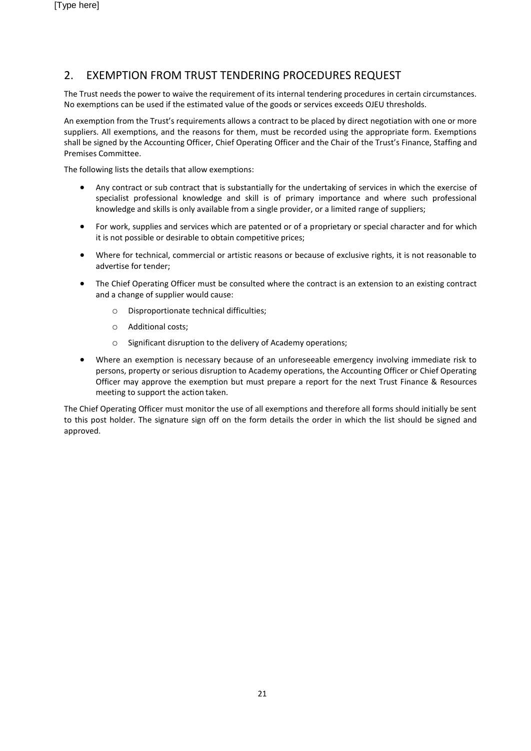# 2. EXEMPTION FROM TRUST TENDERING PROCEDURES REQUEST

The Trust needs the power to waive the requirement of its internal tendering procedures in certain circumstances. No exemptions can be used if the estimated value of the goods or services exceeds OJEU thresholds.

An exemption from the Trust's requirements allows a contract to be placed by direct negotiation with one or more suppliers. All exemptions, and the reasons for them, must be recorded using the appropriate form. Exemptions shall be signed by the Accounting Officer, Chief Operating Officer and the Chair of the Trust's Finance, Staffing and Premises Committee.

The following lists the details that allow exemptions:

- Any contract or sub contract that is substantially for the undertaking of services in which the exercise of specialist professional knowledge and skill is of primary importance and where such professional knowledge and skills is only available from a single provider, or a limited range of suppliers;
- For work, supplies and services which are patented or of a proprietary or special character and for which it is not possible or desirable to obtain competitive prices;
- Where for technical, commercial or artistic reasons or because of exclusive rights, it is not reasonable to advertise for tender;
- The Chief Operating Officer must be consulted where the contract is an extension to an existing contract and a change of supplier would cause:
	- o Disproportionate technical difficulties;
	- o Additional costs;
	- o Significant disruption to the delivery of Academy operations;
- Where an exemption is necessary because of an unforeseeable emergency involving immediate risk to persons, property or serious disruption to Academy operations, the Accounting Officer or Chief Operating Officer may approve the exemption but must prepare a report for the next Trust Finance & Resources meeting to support the action taken.

The Chief Operating Officer must monitor the use of all exemptions and therefore all forms should initially be sent to this post holder. The signature sign off on the form details the order in which the list should be signed and approved.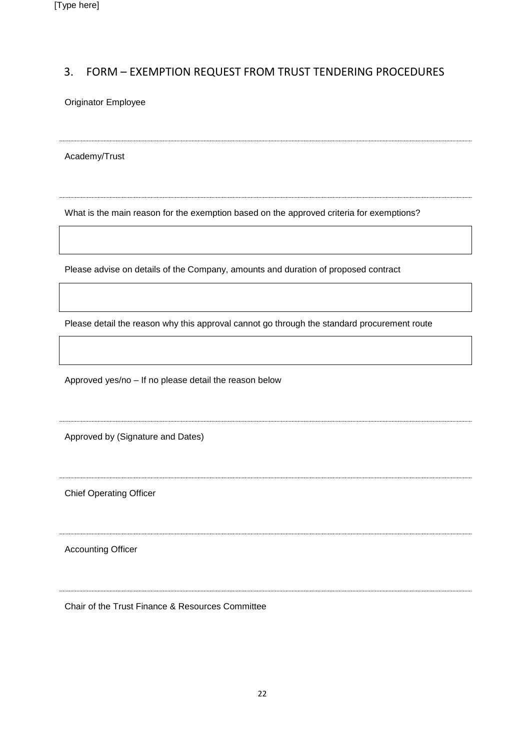[Type here]

# 3. FORM – EXEMPTION REQUEST FROM TRUST TENDERING PROCEDURES

Originator Employee

Academy/Trust

What is the main reason for the exemption based on the approved criteria for exemptions?

Please advise on details of the Company, amounts and duration of proposed contract

Please detail the reason why this approval cannot go through the standard procurement route

Approved yes/no – If no please detail the reason below

Approved by (Signature and Dates)

Chief Operating Officer

Accounting Officer

Chair of the Trust Finance & Resources Committee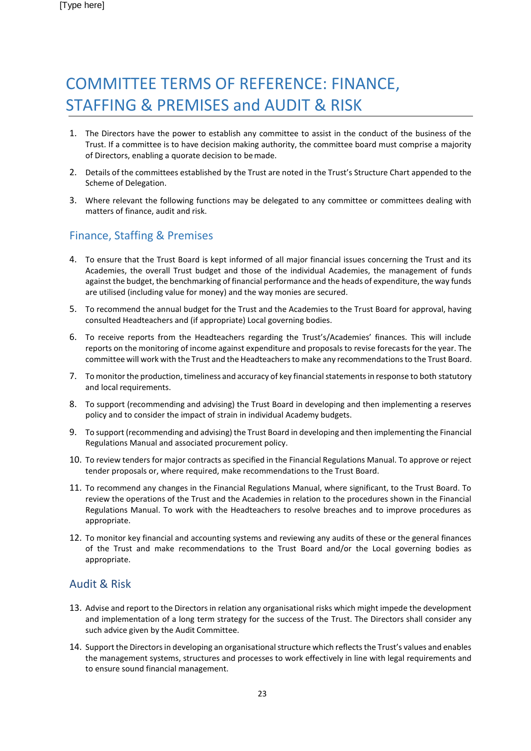# COMMITTEE TERMS OF REFERENCE: FINANCE, STAFFING & PREMISES and AUDIT & RISK

- 1. The Directors have the power to establish any committee to assist in the conduct of the business of the Trust. If a committee is to have decision making authority, the committee board must comprise a majority of Directors, enabling a quorate decision to bemade.
- 2. Details of the committees established by the Trust are noted in the Trust's Structure Chart appended to the Scheme of Delegation.
- 3. Where relevant the following functions may be delegated to any committee or committees dealing with matters of finance, audit and risk.

# Finance, Staffing & Premises

- 4. To ensure that the Trust Board is kept informed of all major financial issues concerning the Trust and its Academies, the overall Trust budget and those of the individual Academies, the management of funds against the budget, the benchmarking of financial performance and the heads of expenditure, the way funds are utilised (including value for money) and the way monies are secured.
- 5. To recommend the annual budget for the Trust and the Academies to the Trust Board for approval, having consulted Headteachers and (if appropriate) Local governing bodies.
- 6. To receive reports from the Headteachers regarding the Trust's/Academies' finances. This will include reports on the monitoring of income against expenditure and proposals to revise forecasts for the year. The committee will work with the Trust and the Headteachers to make any recommendations to the Trust Board.
- 7. To monitor the production, timeliness and accuracy of key financial statements in response to both statutory and local requirements.
- 8. To support (recommending and advising) the Trust Board in developing and then implementing a reserves policy and to consider the impact of strain in individual Academy budgets.
- 9. To support (recommending and advising) the Trust Board in developing and then implementing the Financial Regulations Manual and associated procurement policy.
- 10. To review tenders for major contracts as specified in the Financial Regulations Manual. To approve or reject tender proposals or, where required, make recommendations to the Trust Board.
- 11. To recommend any changes in the Financial Regulations Manual, where significant, to the Trust Board. To review the operations of the Trust and the Academies in relation to the procedures shown in the Financial Regulations Manual. To work with the Headteachers to resolve breaches and to improve procedures as appropriate.
- 12. To monitor key financial and accounting systems and reviewing any audits of these or the general finances of the Trust and make recommendations to the Trust Board and/or the Local governing bodies as appropriate.

# Audit & Risk

- 13. Advise and report to the Directors in relation any organisational risks which might impede the development and implementation of a long term strategy for the success of the Trust. The Directors shall consider any such advice given by the Audit Committee.
- 14. Support the Directors in developing an organisational structure which reflects the Trust's values and enables the management systems, structures and processes to work effectively in line with legal requirements and to ensure sound financial management.